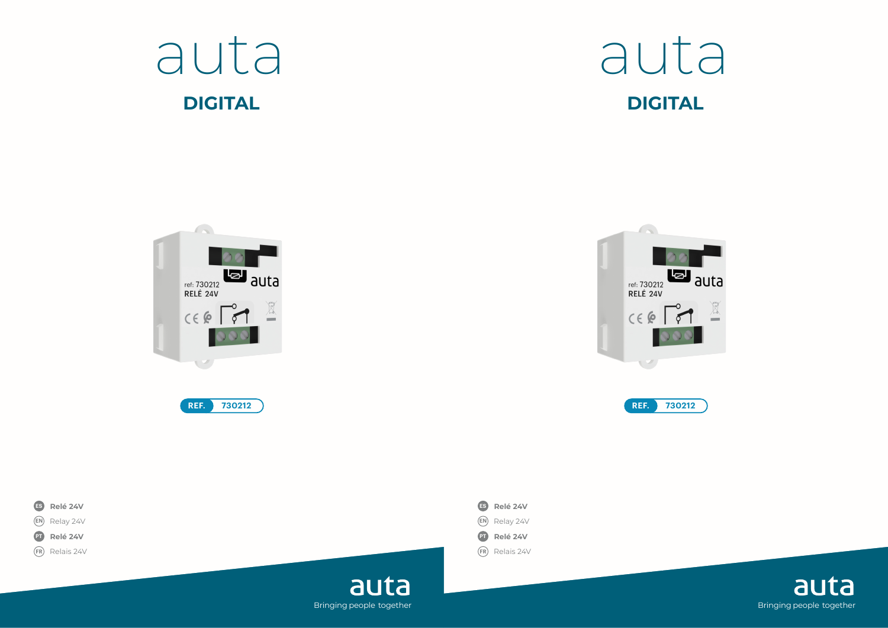











auta